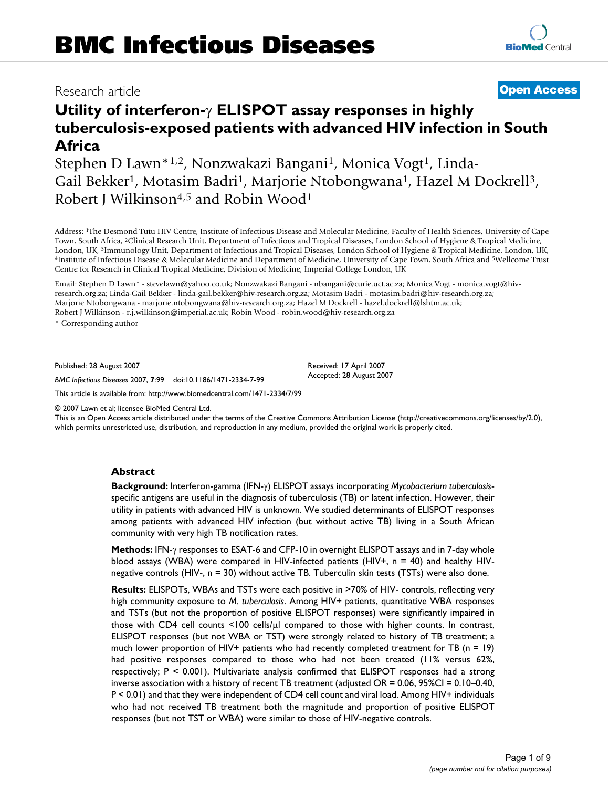# Research article **[Open Access](http://www.biomedcentral.com/info/about/charter/)**

## **Utility of interferon-**γ **ELISPOT assay responses in highly tuberculosis-exposed patients with advanced HIV infection in South Africa**

Stephen D Lawn\*<sup>1,2</sup>, Nonzwakazi Bangani<sup>1</sup>, Monica Vogt<sup>1</sup>, Linda-Gail Bekker<sup>1</sup>, Motasim Badri<sup>1</sup>, Marjorie Ntobongwana<sup>1</sup>, Hazel M Dockrell<sup>3</sup>, Robert J Wilkinson<sup>4,5</sup> and Robin Wood<sup>1</sup>

Address: 1The Desmond Tutu HIV Centre, Institute of Infectious Disease and Molecular Medicine, Faculty of Health Sciences, University of Cape Town, South Africa, 2Clinical Research Unit, Department of Infectious and Tropical Diseases, London School of Hygiene & Tropical Medicine, London, UK, <sup>3</sup>Immunology Unit, Department of Infectious and Tropical Diseases, London School of Hygiene & Tropical Medicine, London, UK, <sup>4</sup>Institute of Infectious Disease & Molecular Medicine and Department of Medicine, Centre for Research in Clinical Tropical Medicine, Division of Medicine, Imperial College London, UK

Email: Stephen D Lawn\* - stevelawn@yahoo.co.uk; Nonzwakazi Bangani - nbangani@curie.uct.ac.za; Monica Vogt - monica.vogt@hivresearch.org.za; Linda-Gail Bekker - linda-gail.bekker@hiv-research.org.za; Motasim Badri - motasim.badri@hiv-research.org.za; Marjorie Ntobongwana - marjorie.ntobongwana@hiv-research.org.za; Hazel M Dockrell - hazel.dockrell@lshtm.ac.uk; Robert J Wilkinson - r.j.wilkinson@imperial.ac.uk; Robin Wood - robin.wood@hiv-research.org.za

\* Corresponding author

Published: 28 August 2007

Received: 17 April 2007 Accepted: 28 August 2007

[This article is available from: http://www.biomedcentral.com/1471-2334/7/99](http://www.biomedcentral.com/1471-2334/7/99)

*BMC Infectious Diseases* 2007, **7**:99 doi:10.1186/1471-2334-7-99

© 2007 Lawn et al; licensee BioMed Central Ltd.

This is an Open Access article distributed under the terms of the Creative Commons Attribution License [\(http://creativecommons.org/licenses/by/2.0\)](http://creativecommons.org/licenses/by/2.0), which permits unrestricted use, distribution, and reproduction in any medium, provided the original work is properly cited.

#### **Abstract**

**Background:** Interferon-gamma (IFN-γ) ELISPOT assays incorporating *Mycobacterium tuberculosis*specific antigens are useful in the diagnosis of tuberculosis (TB) or latent infection. However, their utility in patients with advanced HIV is unknown. We studied determinants of ELISPOT responses among patients with advanced HIV infection (but without active TB) living in a South African community with very high TB notification rates.

**Methods:** IFN-γ responses to ESAT-6 and CFP-10 in overnight ELISPOT assays and in 7-day whole blood assays (WBA) were compared in HIV-infected patients (HIV+, n = 40) and healthy HIVnegative controls (HIV-, n = 30) without active TB. Tuberculin skin tests (TSTs) were also done.

**Results:** ELISPOTs, WBAs and TSTs were each positive in >70% of HIV- controls, reflecting very high community exposure to *M. tuberculosis*. Among HIV+ patients, quantitative WBA responses and TSTs (but not the proportion of positive ELISPOT responses) were significantly impaired in those with CD4 cell counts <100 cells/µl compared to those with higher counts. In contrast, ELISPOT responses (but not WBA or TST) were strongly related to history of TB treatment; a much lower proportion of HIV+ patients who had recently completed treatment for TB  $(n = 19)$ had positive responses compared to those who had not been treated (11% versus 62%, respectively; P < 0.001). Multivariate analysis confirmed that ELISPOT responses had a strong inverse association with a history of recent TB treatment (adjusted OR = 0.06, 95%CI = 0.10–0.40, P < 0.01) and that they were independent of CD4 cell count and viral load. Among HIV+ individuals who had not received TB treatment both the magnitude and proportion of positive ELISPOT responses (but not TST or WBA) were similar to those of HIV-negative controls.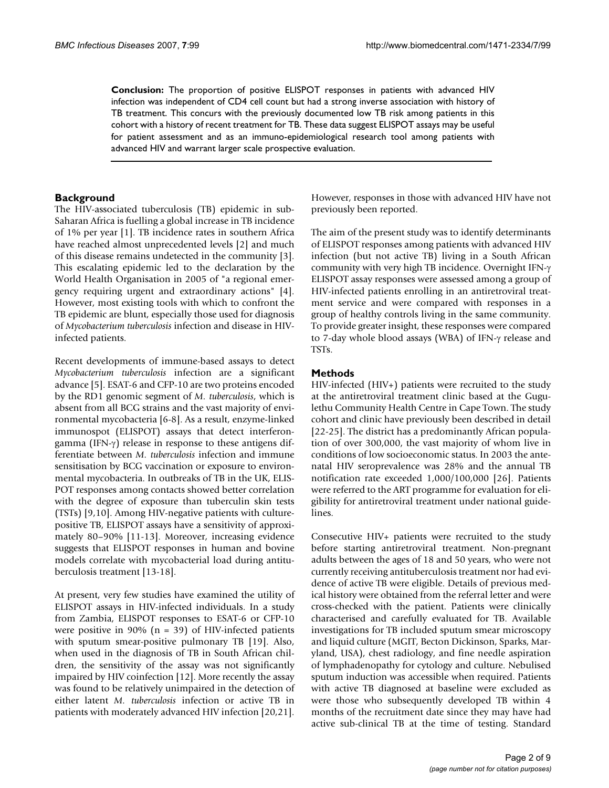**Conclusion:** The proportion of positive ELISPOT responses in patients with advanced HIV infection was independent of CD4 cell count but had a strong inverse association with history of TB treatment. This concurs with the previously documented low TB risk among patients in this cohort with a history of recent treatment for TB. These data suggest ELISPOT assays may be useful for patient assessment and as an immuno-epidemiological research tool among patients with advanced HIV and warrant larger scale prospective evaluation.

#### **Background**

The HIV-associated tuberculosis (TB) epidemic in sub-Saharan Africa is fuelling a global increase in TB incidence of 1% per year [1]. TB incidence rates in southern Africa have reached almost unprecedented levels [2] and much of this disease remains undetected in the community [3]. This escalating epidemic led to the declaration by the World Health Organisation in 2005 of "a regional emergency requiring urgent and extraordinary actions" [4]. However, most existing tools with which to confront the TB epidemic are blunt, especially those used for diagnosis of *Mycobacterium tuberculosis* infection and disease in HIVinfected patients.

Recent developments of immune-based assays to detect *Mycobacterium tuberculosis* infection are a significant advance [5]. ESAT-6 and CFP-10 are two proteins encoded by the RD1 genomic segment of *M. tuberculosis*, which is absent from all BCG strains and the vast majority of environmental mycobacteria [6-8]. As a result, enzyme-linked immunospot (ELISPOT) assays that detect interferongamma (IFN-γ) release in response to these antigens differentiate between *M. tuberculosis* infection and immune sensitisation by BCG vaccination or exposure to environmental mycobacteria. In outbreaks of TB in the UK, ELIS-POT responses among contacts showed better correlation with the degree of exposure than tuberculin skin tests (TSTs) [9,10]. Among HIV-negative patients with culturepositive TB, ELISPOT assays have a sensitivity of approximately 80–90% [11-13]. Moreover, increasing evidence suggests that ELISPOT responses in human and bovine models correlate with mycobacterial load during antituberculosis treatment [13-18].

At present, very few studies have examined the utility of ELISPOT assays in HIV-infected individuals. In a study from Zambia, ELISPOT responses to ESAT-6 or CFP-10 were positive in 90% ( $n = 39$ ) of HIV-infected patients with sputum smear-positive pulmonary TB [19]. Also, when used in the diagnosis of TB in South African children, the sensitivity of the assay was not significantly impaired by HIV coinfection [12]. More recently the assay was found to be relatively unimpaired in the detection of either latent *M. tuberculosis* infection or active TB in patients with moderately advanced HIV infection [20,21]. However, responses in those with advanced HIV have not previously been reported.

The aim of the present study was to identify determinants of ELISPOT responses among patients with advanced HIV infection (but not active TB) living in a South African community with very high TB incidence. Overnight IFN-γ ELISPOT assay responses were assessed among a group of HIV-infected patients enrolling in an antiretroviral treatment service and were compared with responses in a group of healthy controls living in the same community. To provide greater insight, these responses were compared to 7-day whole blood assays (WBA) of IFN-γ release and TSTs.

#### **Methods**

HIV-infected (HIV+) patients were recruited to the study at the antiretroviral treatment clinic based at the Gugulethu Community Health Centre in Cape Town. The study cohort and clinic have previously been described in detail [22-25]. The district has a predominantly African population of over 300,000, the vast majority of whom live in conditions of low socioeconomic status. In 2003 the antenatal HIV seroprevalence was 28% and the annual TB notification rate exceeded 1,000/100,000 [26]. Patients were referred to the ART programme for evaluation for eligibility for antiretroviral treatment under national guidelines.

Consecutive HIV+ patients were recruited to the study before starting antiretroviral treatment. Non-pregnant adults between the ages of 18 and 50 years, who were not currently receiving antituberculosis treatment nor had evidence of active TB were eligible. Details of previous medical history were obtained from the referral letter and were cross-checked with the patient. Patients were clinically characterised and carefully evaluated for TB. Available investigations for TB included sputum smear microscopy and liquid culture (MGIT, Becton Dickinson, Sparks, Maryland, USA), chest radiology, and fine needle aspiration of lymphadenopathy for cytology and culture. Nebulised sputum induction was accessible when required. Patients with active TB diagnosed at baseline were excluded as were those who subsequently developed TB within 4 months of the recruitment date since they may have had active sub-clinical TB at the time of testing. Standard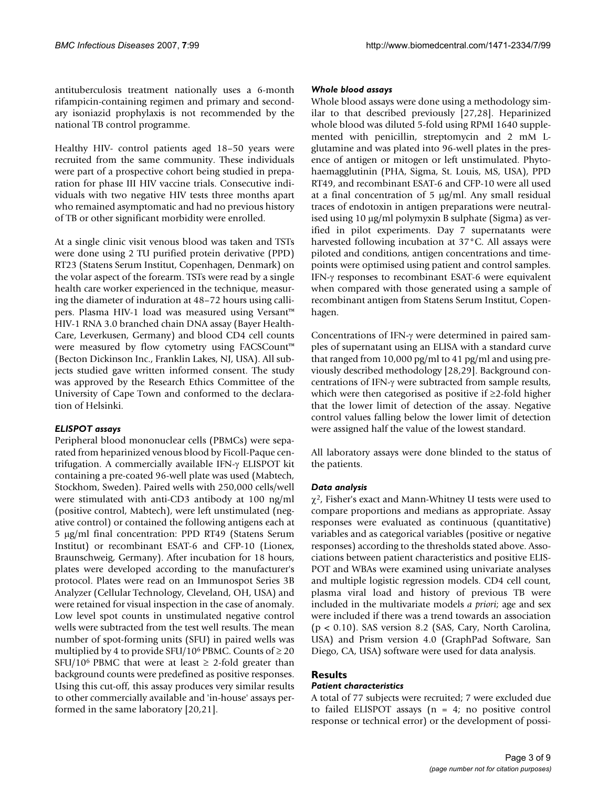antituberculosis treatment nationally uses a 6-month rifampicin-containing regimen and primary and secondary isoniazid prophylaxis is not recommended by the national TB control programme.

Healthy HIV- control patients aged 18–50 years were recruited from the same community. These individuals were part of a prospective cohort being studied in preparation for phase III HIV vaccine trials. Consecutive individuals with two negative HIV tests three months apart who remained asymptomatic and had no previous history of TB or other significant morbidity were enrolled.

At a single clinic visit venous blood was taken and TSTs were done using 2 TU purified protein derivative (PPD) RT23 (Statens Serum Institut, Copenhagen, Denmark) on the volar aspect of the forearm. TSTs were read by a single health care worker experienced in the technique, measuring the diameter of induration at 48–72 hours using callipers. Plasma HIV-1 load was measured using Versant™ HIV-1 RNA 3.0 branched chain DNA assay (Bayer Health-Care, Leverkusen, Germany) and blood CD4 cell counts were measured by flow cytometry using FACSCount™ (Becton Dickinson Inc., Franklin Lakes, NJ, USA). All subjects studied gave written informed consent. The study was approved by the Research Ethics Committee of the University of Cape Town and conformed to the declaration of Helsinki.

#### *ELISPOT assays*

Peripheral blood mononuclear cells (PBMCs) were separated from heparinized venous blood by Ficoll-Paque centrifugation. A commercially available IFN-γ ELISPOT kit containing a pre-coated 96-well plate was used (Mabtech, Stockhom, Sweden). Paired wells with 250,000 cells/well were stimulated with anti-CD3 antibody at 100 ng/ml (positive control, Mabtech), were left unstimulated (negative control) or contained the following antigens each at 5 µg/ml final concentration: PPD RT49 (Statens Serum Institut) or recombinant ESAT-6 and CFP-10 (Lionex, Braunschweig, Germany). After incubation for 18 hours, plates were developed according to the manufacturer's protocol. Plates were read on an Immunospot Series 3B Analyzer (Cellular Technology, Cleveland, OH, USA) and were retained for visual inspection in the case of anomaly. Low level spot counts in unstimulated negative control wells were subtracted from the test well results. The mean number of spot-forming units (SFU) in paired wells was multiplied by 4 to provide SFU/10<sup>6</sup> PBMC. Counts of  $\geq$  20 SFU/10<sup>6</sup> PBMC that were at least  $\geq$  2-fold greater than background counts were predefined as positive responses. Using this cut-off, this assay produces very similar results to other commercially available and 'in-house' assays performed in the same laboratory [20,21].

#### *Whole blood assays*

Whole blood assays were done using a methodology similar to that described previously [27,28]. Heparinized whole blood was diluted 5-fold using RPMI 1640 supplemented with penicillin, streptomycin and 2 mM Lglutamine and was plated into 96-well plates in the presence of antigen or mitogen or left unstimulated. Phytohaemagglutinin (PHA, Sigma, St. Louis, MS, USA), PPD RT49, and recombinant ESAT-6 and CFP-10 were all used at a final concentration of 5  $\mu$ g/ml. Any small residual traces of endotoxin in antigen preparations were neutralised using 10 µg/ml polymyxin B sulphate (Sigma) as verified in pilot experiments. Day 7 supernatants were harvested following incubation at 37°C. All assays were piloted and conditions, antigen concentrations and timepoints were optimised using patient and control samples. IFN-γ responses to recombinant ESAT-6 were equivalent when compared with those generated using a sample of recombinant antigen from Statens Serum Institut, Copenhagen.

Concentrations of IFN-γ were determined in paired samples of supernatant using an ELISA with a standard curve that ranged from 10,000 pg/ml to 41 pg/ml and using previously described methodology [28,29]. Background concentrations of IFN-γ were subtracted from sample results, which were then categorised as positive if ≥2-fold higher that the lower limit of detection of the assay. Negative control values falling below the lower limit of detection were assigned half the value of the lowest standard.

All laboratory assays were done blinded to the status of the patients.

#### *Data analysis*

 $\chi^2$ , Fisher's exact and Mann-Whitney U tests were used to compare proportions and medians as appropriate. Assay responses were evaluated as continuous (quantitative) variables and as categorical variables (positive or negative responses) according to the thresholds stated above. Associations between patient characteristics and positive ELIS-POT and WBAs were examined using univariate analyses and multiple logistic regression models. CD4 cell count, plasma viral load and history of previous TB were included in the multivariate models *a priori*; age and sex were included if there was a trend towards an association (p < 0.10). SAS version 8.2 (SAS, Cary, North Carolina, USA) and Prism version 4.0 (GraphPad Software, San Diego, CA, USA) software were used for data analysis.

### **Results**

#### *Patient characteristics*

A total of 77 subjects were recruited; 7 were excluded due to failed ELISPOT assays  $(n = 4; no positive control)$ response or technical error) or the development of possi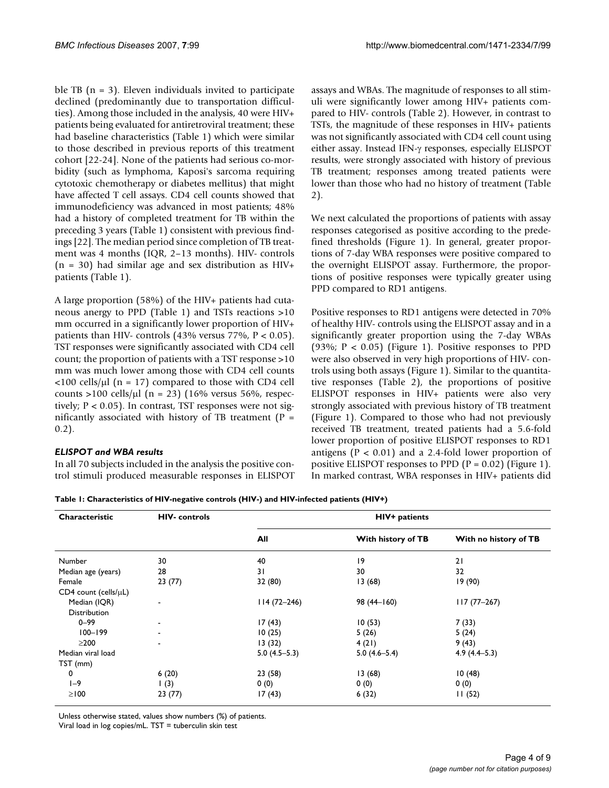ble TB  $(n = 3)$ . Eleven individuals invited to participate declined (predominantly due to transportation difficulties). Among those included in the analysis, 40 were HIV+ patients being evaluated for antiretroviral treatment; these had baseline characteristics (Table 1) which were similar to those described in previous reports of this treatment cohort [22-24]. None of the patients had serious co-morbidity (such as lymphoma, Kaposi's sarcoma requiring cytotoxic chemotherapy or diabetes mellitus) that might have affected T cell assays. CD4 cell counts showed that immunodeficiency was advanced in most patients; 48% had a history of completed treatment for TB within the preceding 3 years (Table 1) consistent with previous findings [22]. The median period since completion of TB treatment was 4 months (IQR, 2–13 months). HIV- controls  $(n = 30)$  had similar age and sex distribution as HIV+ patients (Table 1).

A large proportion (58%) of the HIV+ patients had cutaneous anergy to PPD (Table 1) and TSTs reactions >10 mm occurred in a significantly lower proportion of HIV+ patients than HIV- controls (43% versus 77%,  $P < 0.05$ ). TST responses were significantly associated with CD4 cell count; the proportion of patients with a TST response >10 mm was much lower among those with CD4 cell counts  $\langle$ 100 cells/ $\mu$ l (n = 17) compared to those with CD4 cell counts >100 cells/ $\mu$ l (n = 23) (16% versus 56%, respectively; P < 0.05). In contrast, TST responses were not significantly associated with history of TB treatment ( $P =$ 0.2).

#### *ELISPOT and WBA results*

In all 70 subjects included in the analysis the positive control stimuli produced measurable responses in ELISPOT assays and WBAs. The magnitude of responses to all stimuli were significantly lower among HIV+ patients compared to HIV- controls (Table 2). However, in contrast to TSTs, the magnitude of these responses in HIV+ patients was not significantly associated with CD4 cell count using either assay. Instead IFN-γ responses, especially ELISPOT results, were strongly associated with history of previous TB treatment; responses among treated patients were lower than those who had no history of treatment (Table 2).

We next calculated the proportions of patients with assay responses categorised as positive according to the predefined thresholds (Figure 1). In general, greater proportions of 7-day WBA responses were positive compared to the overnight ELISPOT assay. Furthermore, the proportions of positive responses were typically greater using PPD compared to RD1 antigens.

Positive responses to RD1 antigens were detected in 70% of healthy HIV- controls using the ELISPOT assay and in a significantly greater proportion using the 7-day WBAs (93%;  $P < 0.05$ ) (Figure 1). Positive responses to PPD were also observed in very high proportions of HIV- controls using both assays (Figure 1). Similar to the quantitative responses (Table 2), the proportions of positive ELISPOT responses in HIV+ patients were also very strongly associated with previous history of TB treatment (Figure 1). Compared to those who had not previously received TB treatment, treated patients had a 5.6-fold lower proportion of positive ELISPOT responses to RD1 antigens ( $P < 0.01$ ) and a 2.4-fold lower proportion of positive ELISPOT responses to PPD  $(P = 0.02)$  (Figure 1). In marked contrast, WBA responses in HIV+ patients did

**Table 1: Characteristics of HIV-negative controls (HIV-) and HIV-infected patients (HIV+)**

| Characteristic               | <b>HIV-</b> controls | <b>HIV+</b> patients |                    |                       |  |  |
|------------------------------|----------------------|----------------------|--------------------|-----------------------|--|--|
|                              |                      | All                  | With history of TB | With no history of TB |  |  |
| Number                       | 30                   | 40                   | $\overline{19}$    | 21                    |  |  |
| Median age (years)           | 28                   | 31                   | 30                 | 32                    |  |  |
| Female                       | 23(77)               | 32 (80)              | 13(68)             | 19(90)                |  |  |
| $CD4$ count (cells/ $\mu$ L) |                      |                      |                    |                       |  |  |
| Median (IQR)                 | ۰                    | $114(72-246)$        | $98(44-160)$       | $117(77-267)$         |  |  |
| <b>Distribution</b>          |                      |                      |                    |                       |  |  |
| $0 - 99$                     |                      | 17(43)               | 10(53)             | 7(33)                 |  |  |
| $100 - 199$                  |                      | 10(25)               | 5(26)              | 5(24)                 |  |  |
| $\geq$ 200                   |                      | 13(32)               | 4(21)              | 9(43)                 |  |  |
| Median viral load            |                      | $5.0(4.5-5.3)$       | $5.0(4.6-5.4)$     | $4.9(4.4-5.3)$        |  |  |
| TST (mm)                     |                      |                      |                    |                       |  |  |
| 0                            | 6(20)                | 23(58)               | 13(68)             | 10(48)                |  |  |
| $I-9$                        | $\vert$ (3)          | 0(0)                 | 0(0)               | 0(0)                  |  |  |
| $\geq$ 100                   | 23(77)               | 17(43)               | 6(32)              | 11(52)                |  |  |

Unless otherwise stated, values show numbers (%) of patients.

Viral load in log copies/mL. TST = tuberculin skin test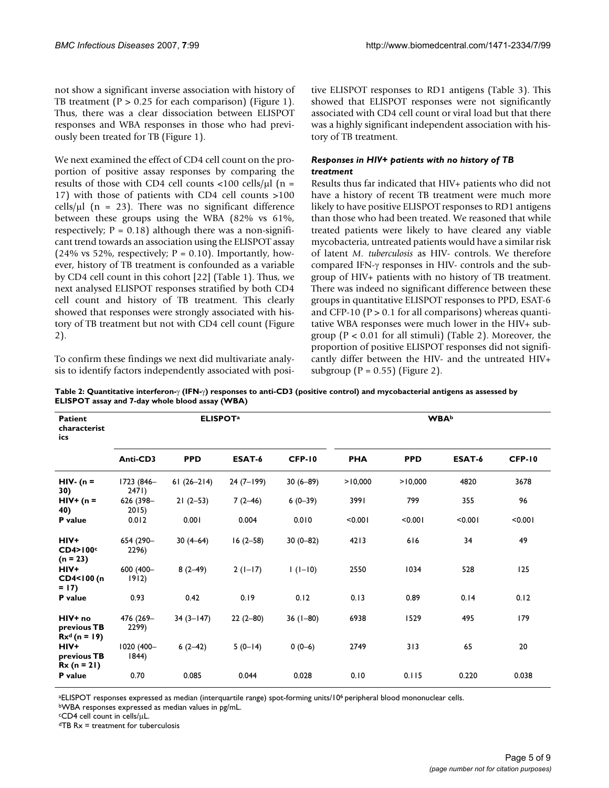not show a significant inverse association with history of TB treatment ( $P > 0.25$  for each comparison) (Figure 1). Thus, there was a clear dissociation between ELISPOT responses and WBA responses in those who had previously been treated for TB (Figure 1).

We next examined the effect of CD4 cell count on the proportion of positive assay responses by comparing the results of those with CD4 cell counts  $\langle 100 \text{ cells/}\mu \rangle$  (n = 17) with those of patients with CD4 cell counts >100 cells/ $\mu$ l (n = 23). There was no significant difference between these groups using the WBA (82% vs 61%, respectively;  $P = 0.18$ ) although there was a non-significant trend towards an association using the ELISPOT assay (24% vs 52%, respectively;  $P = 0.10$ ). Importantly, however, history of TB treatment is confounded as a variable by CD4 cell count in this cohort [22] (Table 1). Thus, we next analysed ELISPOT responses stratified by both CD4 cell count and history of TB treatment. This clearly showed that responses were strongly associated with history of TB treatment but not with CD4 cell count (Figure 2).

To confirm these findings we next did multivariate analysis to identify factors independently associated with positive ELISPOT responses to RD1 antigens (Table 3). This showed that ELISPOT responses were not significantly associated with CD4 cell count or viral load but that there was a highly significant independent association with history of TB treatment.

#### *Responses in HIV+ patients with no history of TB treatment*

Results thus far indicated that HIV+ patients who did not have a history of recent TB treatment were much more likely to have positive ELISPOT responses to RD1 antigens than those who had been treated. We reasoned that while treated patients were likely to have cleared any viable mycobacteria, untreated patients would have a similar risk of latent *M. tuberculosis* as HIV- controls. We therefore compared IFN-γ responses in HIV- controls and the subgroup of HIV+ patients with no history of TB treatment. There was indeed no significant difference between these groups in quantitative ELISPOT responses to PPD, ESAT-6 and CFP-10 ( $P > 0.1$  for all comparisons) whereas quantitative WBA responses were much lower in the HIV+ subgroup (P < 0.01 for all stimuli) (Table 2). Moreover, the proportion of positive ELISPOT responses did not significantly differ between the HIV- and the untreated HIV+ subgroup ( $P = 0.55$ ) (Figure 2).

| Table 2: Quantitative interferon- $\gamma$ (IFN- $\gamma$ ) responses to anti-CD3 (positive control) and mycobacterial antigens as assessed by |  |
|------------------------------------------------------------------------------------------------------------------------------------------------|--|
| ELISPOT assay and 7-day whole blood assay (WBA)                                                                                                |  |

| <b>Patient</b><br>characterist<br>ics    | <b>ELISPOT<sup>a</sup></b> |              |              |               | <b>WBAb</b> |            |         |         |
|------------------------------------------|----------------------------|--------------|--------------|---------------|-------------|------------|---------|---------|
|                                          | Anti-CD3                   | <b>PPD</b>   | ESAT-6       | <b>CFP-10</b> | <b>PHA</b>  | <b>PPD</b> | ESAT-6  | CFP-10  |
| $HIV- (n =$<br>30)                       | 1723 (846-<br>2471)        | $61(26-214)$ | $24(7-199)$  | $30(6-89)$    | >10,000     | >10,000    | 4820    | 3678    |
| $HIV+ (n =$<br>40)                       | 626 (398-<br>2015          | $21(2-53)$   | $7(2-46)$    | $6(0-39)$     | 3991        | 799        | 355     | 96      |
| P value                                  | 0.012                      | 0.001        | 0.004        | 0.010         | < 0.001     | < 0.001    | < 0.001 | < 0.001 |
| $HIV+$<br>CD4>100c<br>$(n = 23)$         | 654 (290-<br>2296)         | $30(4-64)$   | $16(2 - 58)$ | $30(0-82)$    | 4213        | 616        | 34      | 49      |
| HIV+<br>CD4<100 (n<br>$= 17$             | $600(400 -$<br>1912)       | $8(2-49)$    | $2(1-17)$    | $1(1-10)$     | 2550        | 1034       | 528     | 125     |
| P value                                  | 0.93                       | 0.42         | 0.19         | 0.12          | 0.13        | 0.89       | 0.14    | 0.12    |
| HIV+ no<br>previous TB<br>$Rx^d(n = 19)$ | 476 (269-<br>2299)         | $34(3-147)$  | $22(2-80)$   | $36(1-80)$    | 6938        | 1529       | 495     | 179     |
| $HIV+$<br>previous TB<br>$Rx (n = 21)$   | $1020(400 -$<br>1844)      | $6(2-42)$    | $5(0-14)$    | $0(0-6)$      | 2749        | 313        | 65      | 20      |
| P value                                  | 0.70                       | 0.085        | 0.044        | 0.028         | 0.10        | 0.115      | 0.220   | 0.038   |

aELISPOT responses expressed as median (interquartile range) spot-forming units/10<sup>6</sup> peripheral blood mononuclear cells.

bWBA responses expressed as median values in pg/mL.

cCD4 cell count in cells/µL.

 $dTB$  Rx = treatment for tuberculosis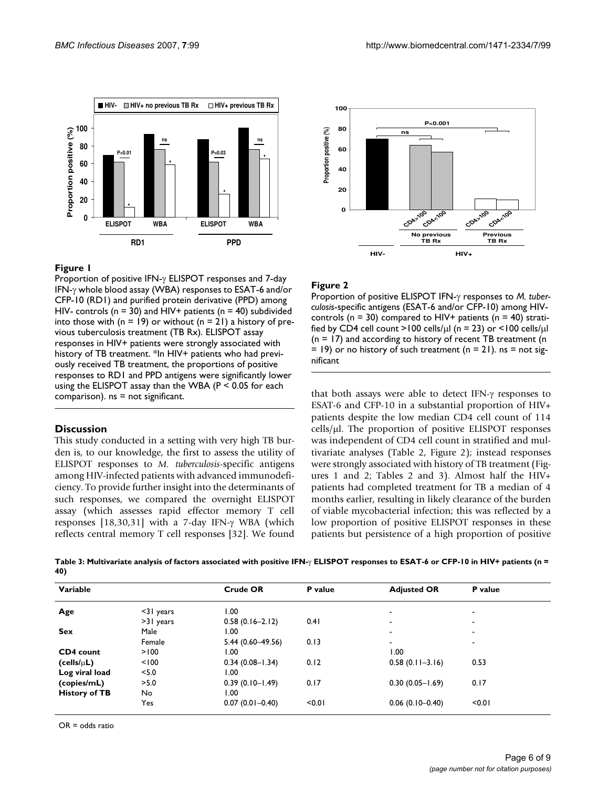

#### Figure I

Proportion of positive IFN-γ ELISPOT responses and 7-day IFN-γ whole blood assay (WBA) responses to ESAT-6 and/or CFP-10 (RD1) and purified protein derivative (PPD) among HIV- controls ( $n = 30$ ) and HIV+ patients ( $n = 40$ ) subdivided into those with ( $n = 19$ ) or without ( $n = 21$ ) a history of previous tuberculosis treatment (TB Rx). ELISPOT assay responses in HIV+ patients were strongly associated with history of TB treatment. \*In HIV+ patients who had previously received TB treatment, the proportions of positive responses to RD1 and PPD antigens were significantly lower using the ELISPOT assay than the WBA (P < 0.05 for each comparison). ns = not significant.

#### **Discussion**

This study conducted in a setting with very high TB burden is, to our knowledge, the first to assess the utility of ELISPOT responses to *M. tuberculosis*-specific antigens among HIV-infected patients with advanced immunodeficiency. To provide further insight into the determinants of such responses, we compared the overnight ELISPOT assay (which assesses rapid effector memory T cell responses [18,30,31] with a 7-day IFN-γ WBA (which reflects central memory T cell responses [32]. We found



#### Figure 2

Proportion of positive ELISPOT IFN-γ responses to *M. tuberculosis*-specific antigens (ESAT-6 and/or CFP-10) among HIVcontrols ( $n = 30$ ) compared to HIV+ patients ( $n = 40$ ) stratified by CD4 cell count  $>100$  cells/ $\mu$ l (n = 23) or <100 cells/ $\mu$ l (n = 17) and according to history of recent TB treatment (n  $= 19$ ) or no history of such treatment (n  $= 21$ ). ns  $=$  not significant

that both assays were able to detect IFN-γ responses to ESAT-6 and CFP-10 in a substantial proportion of HIV+ patients despite the low median CD4 cell count of 114  $cells/µ$ . The proportion of positive ELISPOT responses was independent of CD4 cell count in stratified and multivariate analyses (Table 2, Figure 2); instead responses were strongly associated with history of TB treatment (Figures 1 and 2; Tables 2 and 3). Almost half the HIV+ patients had completed treatment for TB a median of 4 months earlier, resulting in likely clearance of the burden of viable mycobacterial infection; this was reflected by a low proportion of positive ELISPOT responses in these patients but persistence of a high proportion of positive

| Table 3: Multivariate analysis of factors associated with positive IFN- $\gamma$ ELISPOT responses to ESAT-6 or CFP-10 in HIV+ patients (n = |  |
|----------------------------------------------------------------------------------------------------------------------------------------------|--|
| 40)                                                                                                                                          |  |

| Variable             |              | <b>Crude OR</b>      | P value | <b>Adjusted OR</b>       | P value |
|----------------------|--------------|----------------------|---------|--------------------------|---------|
| Age                  | $<$ 31 years | 1.00                 |         | $\overline{\phantom{a}}$ | ۰       |
|                      | >31 years    | $0.58(0.16-2.12)$    | 0.41    | $\blacksquare$           |         |
| <b>Sex</b>           | Male         | 1.00                 |         | $\overline{\phantom{a}}$ |         |
|                      | Female       | $5.44(0.60 - 49.56)$ | 0.13    | $\overline{\phantom{a}}$ | ۰       |
| CD4 count            | >100         | 1.00                 |         | 00.1                     |         |
| $(cells/\mu L)$      | < 100        | $0.34(0.08 - 1.34)$  | 0.12    | $0.58(0.11 - 3.16)$      | 0.53    |
| Log viral load       | < 5.0        | 1.00                 |         |                          |         |
| (copies/mL)          | >5.0         | $0.39(0.10 - 1.49)$  | 0.17    | $0.30(0.05 - 1.69)$      | 0.17    |
| <b>History of TB</b> | No.          | 1.00                 |         |                          |         |
|                      | Yes          | $0.07(0.01 - 0.40)$  | < 0.01  | $0.06(0.10-0.40)$        | < 0.01  |

OR = odds ratio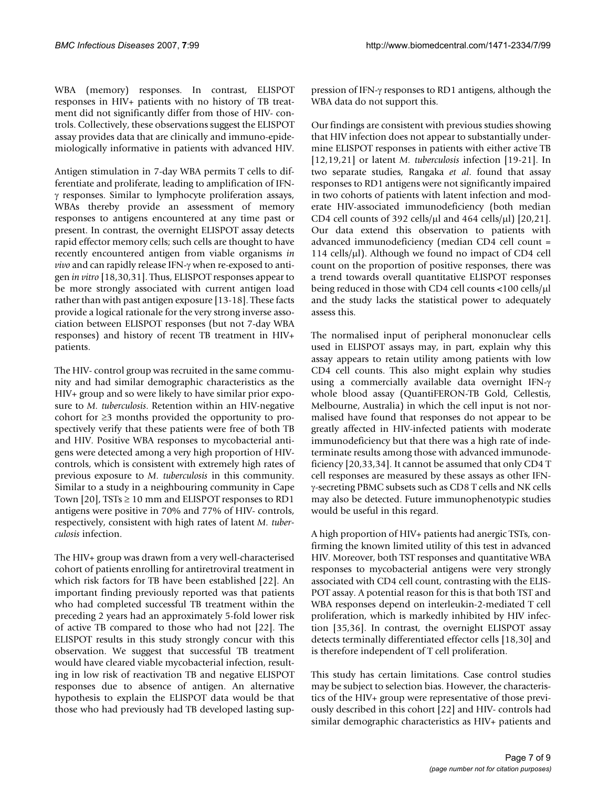WBA (memory) responses. In contrast, ELISPOT responses in HIV+ patients with no history of TB treatment did not significantly differ from those of HIV- controls. Collectively, these observations suggest the ELISPOT assay provides data that are clinically and immuno-epidemiologically informative in patients with advanced HIV.

Antigen stimulation in 7-day WBA permits T cells to differentiate and proliferate, leading to amplification of IFNγ responses. Similar to lymphocyte proliferation assays, WBAs thereby provide an assessment of memory responses to antigens encountered at any time past or present. In contrast, the overnight ELISPOT assay detects rapid effector memory cells; such cells are thought to have recently encountered antigen from viable organisms *in vivo* and can rapidly release IFN-γ when re-exposed to antigen *in vitro* [18,30,31]. Thus, ELISPOT responses appear to be more strongly associated with current antigen load rather than with past antigen exposure [13-18]. These facts provide a logical rationale for the very strong inverse association between ELISPOT responses (but not 7-day WBA responses) and history of recent TB treatment in HIV+ patients.

The HIV- control group was recruited in the same community and had similar demographic characteristics as the HIV+ group and so were likely to have similar prior exposure to *M. tuberculosis*. Retention within an HIV-negative cohort for ≥3 months provided the opportunity to prospectively verify that these patients were free of both TB and HIV. Positive WBA responses to mycobacterial antigens were detected among a very high proportion of HIVcontrols, which is consistent with extremely high rates of previous exposure to *M. tuberculosis* in this community. Similar to a study in a neighbouring community in Cape Town [20], TSTs  $\geq$  10 mm and ELISPOT responses to RD1 antigens were positive in 70% and 77% of HIV- controls, respectively, consistent with high rates of latent *M. tuberculosis* infection.

The HIV+ group was drawn from a very well-characterised cohort of patients enrolling for antiretroviral treatment in which risk factors for TB have been established [22]. An important finding previously reported was that patients who had completed successful TB treatment within the preceding 2 years had an approximately 5-fold lower risk of active TB compared to those who had not [22]. The ELISPOT results in this study strongly concur with this observation. We suggest that successful TB treatment would have cleared viable mycobacterial infection, resulting in low risk of reactivation TB and negative ELISPOT responses due to absence of antigen. An alternative hypothesis to explain the ELISPOT data would be that those who had previously had TB developed lasting suppression of IFN-γ responses to RD1 antigens, although the WBA data do not support this.

Our findings are consistent with previous studies showing that HIV infection does not appear to substantially undermine ELISPOT responses in patients with either active TB [12,19,21] or latent *M. tuberculosis* infection [19-21]. In two separate studies, Rangaka *et al*. found that assay responses to RD1 antigens were not significantly impaired in two cohorts of patients with latent infection and moderate HIV-associated immunodeficiency (both median CD4 cell counts of 392 cells/ $\mu$ l and 464 cells/ $\mu$ l) [20,21]. Our data extend this observation to patients with advanced immunodeficiency (median CD4 cell count = 114 cells/ $\mu$ l). Although we found no impact of CD4 cell count on the proportion of positive responses, there was a trend towards overall quantitative ELISPOT responses being reduced in those with CD4 cell counts <100 cells/µl and the study lacks the statistical power to adequately assess this.

The normalised input of peripheral mononuclear cells used in ELISPOT assays may, in part, explain why this assay appears to retain utility among patients with low CD4 cell counts. This also might explain why studies using a commercially available data overnight IFN-γ whole blood assay (QuantiFERON-TB Gold, Cellestis, Melbourne, Australia) in which the cell input is not normalised have found that responses do not appear to be greatly affected in HIV-infected patients with moderate immunodeficiency but that there was a high rate of indeterminate results among those with advanced immunodeficiency [20,33,34]. It cannot be assumed that only CD4 T cell responses are measured by these assays as other IFNγ-secreting PBMC subsets such as CD8 T cells and NK cells may also be detected. Future immunophenotypic studies would be useful in this regard.

A high proportion of HIV+ patients had anergic TSTs, confirming the known limited utility of this test in advanced HIV. Moreover, both TST responses and quantitative WBA responses to mycobacterial antigens were very strongly associated with CD4 cell count, contrasting with the ELIS-POT assay. A potential reason for this is that both TST and WBA responses depend on interleukin-2-mediated T cell proliferation, which is markedly inhibited by HIV infection [35,36]. In contrast, the overnight ELISPOT assay detects terminally differentiated effector cells [18,30] and is therefore independent of T cell proliferation.

This study has certain limitations. Case control studies may be subject to selection bias. However, the characteristics of the HIV+ group were representative of those previously described in this cohort [22] and HIV- controls had similar demographic characteristics as HIV+ patients and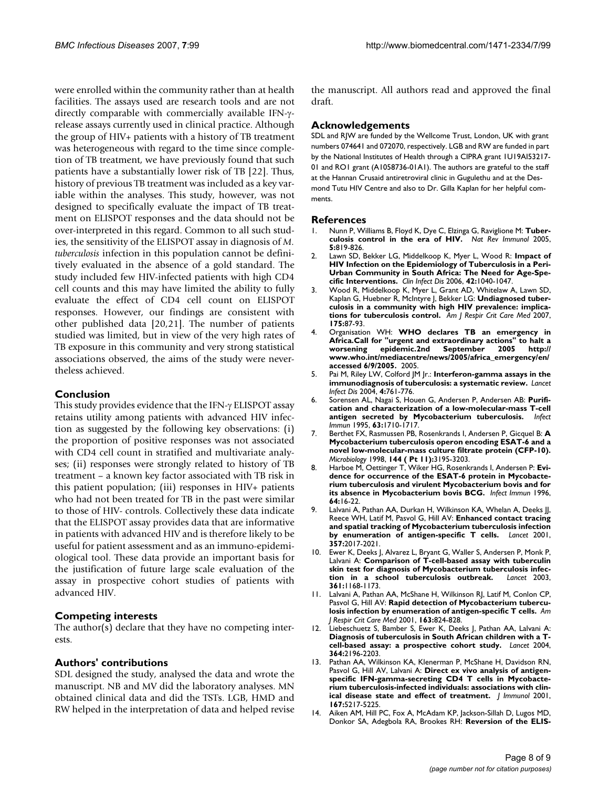were enrolled within the community rather than at health facilities. The assays used are research tools and are not directly comparable with commercially available IFN-γrelease assays currently used in clinical practice. Although the group of HIV+ patients with a history of TB treatment was heterogeneous with regard to the time since completion of TB treatment, we have previously found that such patients have a substantially lower risk of TB [22]. Thus, history of previous TB treatment was included as a key variable within the analyses. This study, however, was not designed to specifically evaluate the impact of TB treatment on ELISPOT responses and the data should not be over-interpreted in this regard. Common to all such studies, the sensitivity of the ELISPOT assay in diagnosis of *M. tuberculosis* infection in this population cannot be definitively evaluated in the absence of a gold standard. The study included few HIV-infected patients with high CD4 cell counts and this may have limited the ability to fully evaluate the effect of CD4 cell count on ELISPOT responses. However, our findings are consistent with other published data [20,21]. The number of patients studied was limited, but in view of the very high rates of TB exposure in this community and very strong statistical associations observed, the aims of the study were nevertheless achieved.

#### **Conclusion**

This study provides evidence that the IFN-γ ELISPOT assay retains utility among patients with advanced HIV infection as suggested by the following key observations: (i) the proportion of positive responses was not associated with CD4 cell count in stratified and multivariate analyses; (ii) responses were strongly related to history of TB treatment – a known key factor associated with TB risk in this patient population; (iii) responses in HIV+ patients who had not been treated for TB in the past were similar to those of HIV- controls. Collectively these data indicate that the ELISPOT assay provides data that are informative in patients with advanced HIV and is therefore likely to be useful for patient assessment and as an immuno-epidemiological tool. These data provide an important basis for the justification of future large scale evaluation of the assay in prospective cohort studies of patients with advanced HIV.

#### **Competing interests**

The author(s) declare that they have no competing interests.

#### **Authors' contributions**

SDL designed the study, analysed the data and wrote the manuscript. NB and MV did the laboratory analyses. MN obtained clinical data and did the TSTs. LGB, HMD and RW helped in the interpretation of data and helped revise the manuscript. All authors read and approved the final draft.

#### **Acknowledgements**

SDL and RJW are funded by the Wellcome Trust, London, UK with grant numbers 074641 and 072070, respectively. LGB and RW are funded in part by the National Institutes of Health through a CIPRA grant 1U19AI53217- 01 and RO1 grant (A1058736-01A1). The authors are grateful to the staff at the Hannan Crusaid antiretroviral clinic in Gugulethu and at the Desmond Tutu HIV Centre and also to Dr. Gilla Kaplan for her helpful comments.

#### **References**

- 1. Nunn P, Williams B, Floyd K, Dye C, Elzinga G, Raviglione M: **[Tuber](http://www.ncbi.nlm.nih.gov/entrez/query.fcgi?cmd=Retrieve&db=PubMed&dopt=Abstract&list_uids=16200083)[culosis control in the era of HIV.](http://www.ncbi.nlm.nih.gov/entrez/query.fcgi?cmd=Retrieve&db=PubMed&dopt=Abstract&list_uids=16200083)** *Nat Rev Immunol* 2005, **5:**819-826.
- 2. Lawn SD, Bekker LG, Middelkoop K, Myer L, Wood R: **[Impact of](http://www.ncbi.nlm.nih.gov/entrez/query.fcgi?cmd=Retrieve&db=PubMed&dopt=Abstract&list_uids=16511773) HIV Infection on the Epidemiology of Tuberculosis in a Peri-[Urban Community in South Africa: The Need for Age-Spe](http://www.ncbi.nlm.nih.gov/entrez/query.fcgi?cmd=Retrieve&db=PubMed&dopt=Abstract&list_uids=16511773)[cific Interventions.](http://www.ncbi.nlm.nih.gov/entrez/query.fcgi?cmd=Retrieve&db=PubMed&dopt=Abstract&list_uids=16511773)** *Clin Infect Dis* 2006, **42:**1040-1047.
- 3. Wood R, Middelkoop K, Myer L, Grant AD, Whitelaw A, Lawn SD, Kaplan G, Huebner R, McIntyre J, Bekker LG: **[Undiagnosed tuber](http://www.ncbi.nlm.nih.gov/entrez/query.fcgi?cmd=Retrieve&db=PubMed&dopt=Abstract&list_uids=16973982)[culosis in a community with high HIV prevalence: implica](http://www.ncbi.nlm.nih.gov/entrez/query.fcgi?cmd=Retrieve&db=PubMed&dopt=Abstract&list_uids=16973982)[tions for tuberculosis control.](http://www.ncbi.nlm.nih.gov/entrez/query.fcgi?cmd=Retrieve&db=PubMed&dopt=Abstract&list_uids=16973982)** *Am J Respir Crit Care Med* 2007, **175:**87-93.
- 4. Organisation WH: **WHO declares TB an emergency in Africa.Call for "urgent and extraordinary actions" to halt a** September 2005 http:// **www.who.int/mediacentre/news/2005/africa\_emergency/en/ accessed 6/9/2005.** 2005.
- 5. Pai M, Riley LW, Colford JM Jr.: **[Interferon-gamma assays in the](http://www.ncbi.nlm.nih.gov/entrez/query.fcgi?cmd=Retrieve&db=PubMed&dopt=Abstract&list_uids=15567126) [immunodiagnosis of tuberculosis: a systematic review.](http://www.ncbi.nlm.nih.gov/entrez/query.fcgi?cmd=Retrieve&db=PubMed&dopt=Abstract&list_uids=15567126)** *Lancet Infect Dis* 2004, **4:**761-776.
- 6. Sorensen AL, Nagai S, Houen G, Andersen P, Andersen AB: **[Purifi](http://www.ncbi.nlm.nih.gov/entrez/query.fcgi?cmd=Retrieve&db=PubMed&dopt=Abstract&list_uids=7729876)[cation and characterization of a low-molecular-mass T-cell](http://www.ncbi.nlm.nih.gov/entrez/query.fcgi?cmd=Retrieve&db=PubMed&dopt=Abstract&list_uids=7729876) [antigen secreted by Mycobacterium tuberculosis.](http://www.ncbi.nlm.nih.gov/entrez/query.fcgi?cmd=Retrieve&db=PubMed&dopt=Abstract&list_uids=7729876)** *Infect Immun* 1995, **63:**1710-1717.
- 7. Berthet FX, Rasmussen PB, Rosenkrands I, Andersen P, Gicquel B: **[A](http://www.ncbi.nlm.nih.gov/entrez/query.fcgi?cmd=Retrieve&db=PubMed&dopt=Abstract&list_uids=9846755) Mycobacterium tuberculosis operon encoding ESAT-6 and a [novel low-molecular-mass culture filtrate protein \(CFP-10\).](http://www.ncbi.nlm.nih.gov/entrez/query.fcgi?cmd=Retrieve&db=PubMed&dopt=Abstract&list_uids=9846755)** *Microbiology* 1998, **144 ( Pt 11):**3195-3203.
- 8. Harboe M, Oettinger T, Wiker HG, Rosenkrands I, Andersen P: **[Evi](http://www.ncbi.nlm.nih.gov/entrez/query.fcgi?cmd=Retrieve&db=PubMed&dopt=Abstract&list_uids=8557334)dence for occurrence of the ESAT-6 protein in Mycobacte[rium tuberculosis and virulent Mycobacterium bovis and for](http://www.ncbi.nlm.nih.gov/entrez/query.fcgi?cmd=Retrieve&db=PubMed&dopt=Abstract&list_uids=8557334) [its absence in Mycobacterium bovis BCG.](http://www.ncbi.nlm.nih.gov/entrez/query.fcgi?cmd=Retrieve&db=PubMed&dopt=Abstract&list_uids=8557334)** *Infect Immun* 1996, **64:**16-22.
- 9. Lalvani A, Pathan AA, Durkan H, Wilkinson KA, Whelan A, Deeks ||, Reece WH, Latif M, Pasvol G, Hill AV: **[Enhanced contact tracing](http://www.ncbi.nlm.nih.gov/entrez/query.fcgi?cmd=Retrieve&db=PubMed&dopt=Abstract&list_uids=11438135) [and spatial tracking of Mycobacterium tuberculosis infection](http://www.ncbi.nlm.nih.gov/entrez/query.fcgi?cmd=Retrieve&db=PubMed&dopt=Abstract&list_uids=11438135) [by enumeration of antigen-specific T cells.](http://www.ncbi.nlm.nih.gov/entrez/query.fcgi?cmd=Retrieve&db=PubMed&dopt=Abstract&list_uids=11438135)** *Lancet* 2001, **357:**2017-2021.
- 10. Ewer K, Deeks J, Alvarez L, Bryant G, Waller S, Andersen P, Monk P, Lalvani A: **[Comparison of T-cell-based assay with tuberculin](http://www.ncbi.nlm.nih.gov/entrez/query.fcgi?cmd=Retrieve&db=PubMed&dopt=Abstract&list_uids=12686038) [skin test for diagnosis of Mycobacterium tuberculosis infec](http://www.ncbi.nlm.nih.gov/entrez/query.fcgi?cmd=Retrieve&db=PubMed&dopt=Abstract&list_uids=12686038)[tion in a school tuberculosis outbreak.](http://www.ncbi.nlm.nih.gov/entrez/query.fcgi?cmd=Retrieve&db=PubMed&dopt=Abstract&list_uids=12686038)** *Lancet* 2003, **361:**1168-1173.
- 11. Lalvani A, Pathan AA, McShane H, Wilkinson RJ, Latif M, Conlon CP, Pasvol G, Hill AV: **[Rapid detection of Mycobacterium tubercu](http://www.ncbi.nlm.nih.gov/entrez/query.fcgi?cmd=Retrieve&db=PubMed&dopt=Abstract&list_uids=11282752)[losis infection by enumeration of antigen-specific T cells.](http://www.ncbi.nlm.nih.gov/entrez/query.fcgi?cmd=Retrieve&db=PubMed&dopt=Abstract&list_uids=11282752)** *Am J Respir Crit Care Med* 2001, **163:**824-828.
- 12. Liebeschuetz S, Bamber S, Ewer K, Deeks J, Pathan AA, Lalvani A: **[Diagnosis of tuberculosis in South African children with a T](http://www.ncbi.nlm.nih.gov/entrez/query.fcgi?cmd=Retrieve&db=PubMed&dopt=Abstract&list_uids=15610806)[cell-based assay: a prospective cohort study.](http://www.ncbi.nlm.nih.gov/entrez/query.fcgi?cmd=Retrieve&db=PubMed&dopt=Abstract&list_uids=15610806)** *Lancet* 2004, **364:**2196-2203.
- 13. Pathan AA, Wilkinson KA, Klenerman P, McShane H, Davidson RN, Pasvol G, Hill AV, Lalvani A: **[Direct ex vivo analysis of antigen](http://www.ncbi.nlm.nih.gov/entrez/query.fcgi?cmd=Retrieve&db=PubMed&dopt=Abstract&list_uids=11673535)specific IFN-gamma-secreting CD4 T cells in Mycobacte[rium tuberculosis-infected individuals: associations with clin](http://www.ncbi.nlm.nih.gov/entrez/query.fcgi?cmd=Retrieve&db=PubMed&dopt=Abstract&list_uids=11673535)[ical disease state and effect of treatment.](http://www.ncbi.nlm.nih.gov/entrez/query.fcgi?cmd=Retrieve&db=PubMed&dopt=Abstract&list_uids=11673535)** *J Immunol* 2001, **167:**5217-5225.
- 14. Aiken AM, Hill PC, Fox A, McAdam KP, Jackson-Sillah D, Lugos MD, Donkor SA, Adegbola RA, Brookes RH: **[Reversion of the ELIS](http://www.ncbi.nlm.nih.gov/entrez/query.fcgi?cmd=Retrieve&db=PubMed&dopt=Abstract&list_uids=16573826)-**